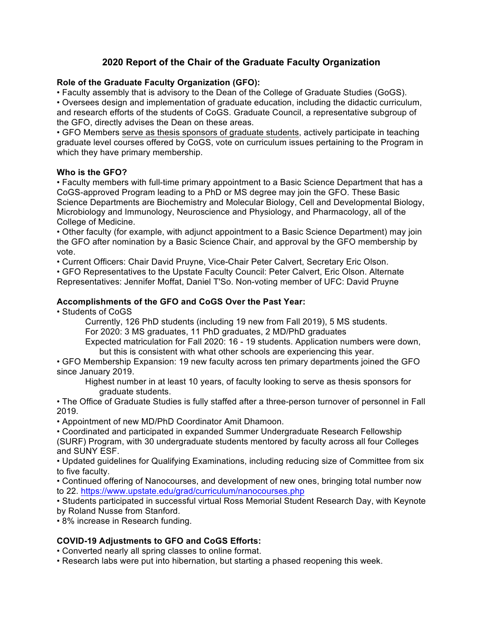# **2020 Report of the Chair of the Graduate Faculty Organization**

# **Role of the Graduate Faculty Organization (GFO):**

• Faculty assembly that is advisory to the Dean of the College of Graduate Studies (GoGS).

• Oversees design and implementation of graduate education, including the didactic curriculum, and research efforts of the students of CoGS. Graduate Council, a representative subgroup of the GFO, directly advises the Dean on these areas.

• GFO Members serve as thesis sponsors of graduate students, actively participate in teaching graduate level courses offered by CoGS, vote on curriculum issues pertaining to the Program in which they have primary membership.

#### **Who is the GFO?**

• Faculty members with full-time primary appointment to a Basic Science Department that has a CoGS-approved Program leading to a PhD or MS degree may join the GFO. These Basic Science Departments are Biochemistry and Molecular Biology, Cell and Developmental Biology, Microbiology and Immunology, Neuroscience and Physiology, and Pharmacology, all of the College of Medicine.

• Other faculty (for example, with adjunct appointment to a Basic Science Department) may join the GFO after nomination by a Basic Science Chair, and approval by the GFO membership by vote.

• Current Officers: Chair David Pruyne, Vice-Chair Peter Calvert, Secretary Eric Olson.

• GFO Representatives to the Upstate Faculty Council: Peter Calvert, Eric Olson. Alternate Representatives: Jennifer Moffat, Daniel T'So. Non-voting member of UFC: David Pruyne

### **Accomplishments of the GFO and CoGS Over the Past Year:**

• Students of CoGS

Currently, 126 PhD students (including 19 new from Fall 2019), 5 MS students.

For 2020: 3 MS graduates, 11 PhD graduates, 2 MD/PhD graduates

Expected matriculation for Fall 2020: 16 - 19 students. Application numbers were down, but this is consistent with what other schools are experiencing this year.

• GFO Membership Expansion: 19 new faculty across ten primary departments joined the GFO since January 2019.

Highest number in at least 10 years, of faculty looking to serve as thesis sponsors for graduate students.

• The Office of Graduate Studies is fully staffed after a three-person turnover of personnel in Fall 2019.

• Appointment of new MD/PhD Coordinator Amit Dhamoon.

• Coordinated and participated in expanded Summer Undergraduate Research Fellowship (SURF) Program, with 30 undergraduate students mentored by faculty across all four Colleges and SUNY ESF.

• Updated guidelines for Qualifying Examinations, including reducing size of Committee from six to five faculty.

• Continued offering of Nanocourses, and development of new ones, bringing total number now to 22. https://www.upstate.edu/grad/curriculum/nanocourses.php

• Students participated in successful virtual Ross Memorial Student Research Day, with Keynote by Roland Nusse from Stanford.

• 8% increase in Research funding.

# **COVID-19 Adjustments to GFO and CoGS Efforts:**

• Converted nearly all spring classes to online format.

• Research labs were put into hibernation, but starting a phased reopening this week.